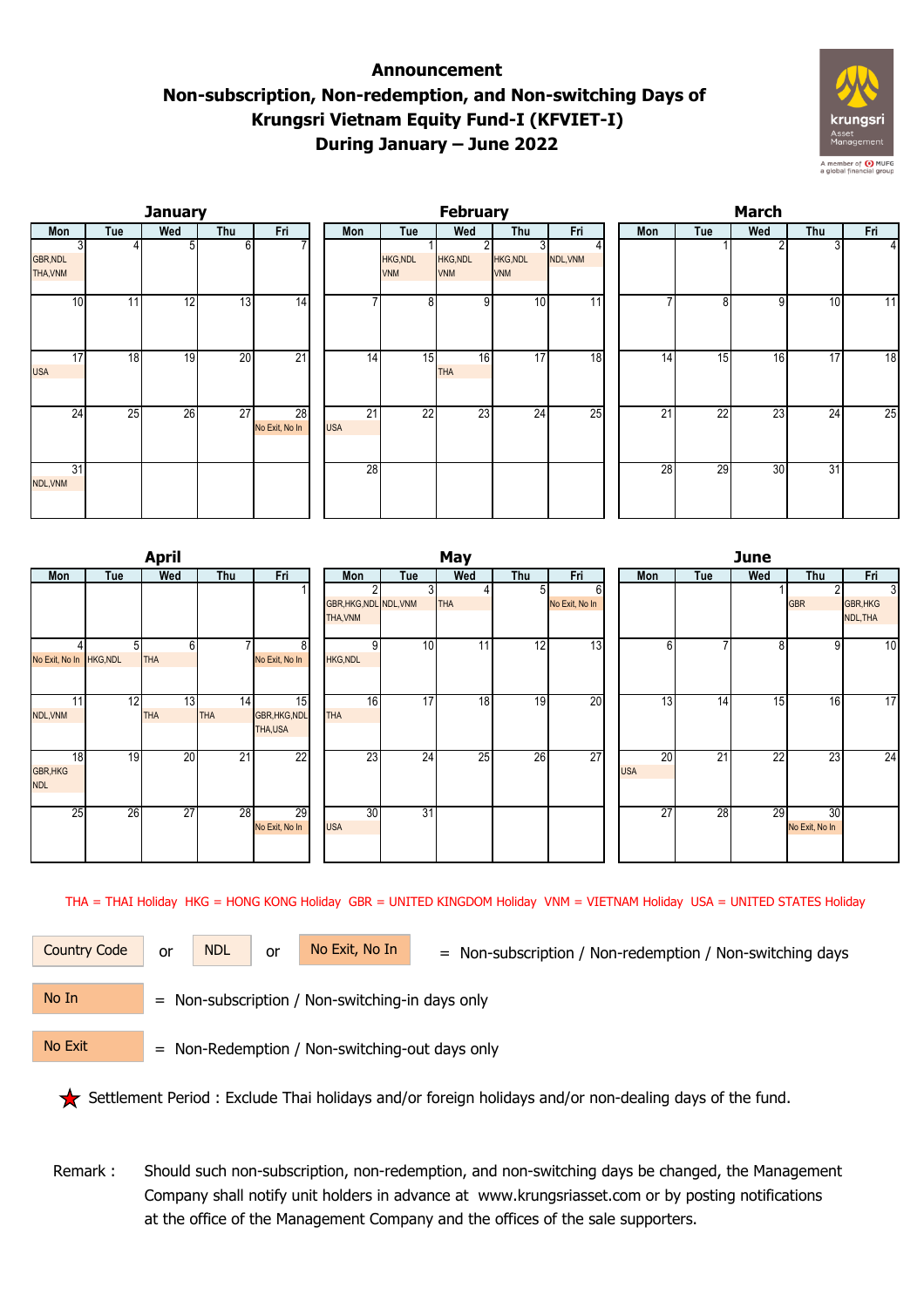## **Announcement Non-subscription, Non-redemption, and Non-switching Days of Krungsri Vietnam Equity Fund-I (KFVIET-I) During January – June 2022**



|                             |     | <b>January</b> |                 |                      |                  |                               | <b>February</b>        |                               |          | March           |                 |     |     |     |  |  |
|-----------------------------|-----|----------------|-----------------|----------------------|------------------|-------------------------------|------------------------|-------------------------------|----------|-----------------|-----------------|-----|-----|-----|--|--|
| Mon                         | Tue | Wed            | Thu             | Fri                  | Mon              | Tue                           | Wed                    | Thu                           | Fri      | Mon             | Tue             | Wed | Thu | Fri |  |  |
| <b>GBR, NDL</b><br>THA, VNM |     | 51             | 61              |                      |                  | <b>HKG, NDL</b><br><b>VNM</b> | HKG, NDL<br><b>VNM</b> | <b>HKG, NDL</b><br><b>VNM</b> | NDL, VNM |                 |                 |     |     | 4   |  |  |
| 10 <sup>1</sup>             | 11  | 12             | 13              | 14                   |                  | 8 <sup>1</sup>                | 9                      | 10                            | 11       |                 | 8               | 9   | 10  | 11  |  |  |
| 17<br><b>USA</b>            | 18  | 19             | 20              | 21                   | 14               | 15                            | 16<br><b>THA</b>       | 17                            | 18       | 14              | 15              | 16  | 17  | 18  |  |  |
| 24                          | 25  | 26             | $\overline{27}$ | 28<br>No Exit, No In | 21<br><b>USA</b> | 22                            | 23                     | 24                            | 25       | $\overline{21}$ | $\overline{22}$ | 23  | 24  | 25  |  |  |
| 31<br>NDL, VNM              |     |                |                 |                      | 28               |                               |                        |                               |          | 28              | 29              | 30  | 31  |     |  |  |

|                         |     | <b>April</b>    |     |                | May                    |     |            |     |                |  |                 | <b>June</b> |                 |                |                 |  |  |  |
|-------------------------|-----|-----------------|-----|----------------|------------------------|-----|------------|-----|----------------|--|-----------------|-------------|-----------------|----------------|-----------------|--|--|--|
| Mon                     | Tue | Wed             | Thu | Fri            | Mon                    | Tue | Wed        | Thu | Fri            |  | Mon             | Tue         | Wed             | Thu            | Fri             |  |  |  |
|                         |     |                 |     |                |                        | 3   |            | 5   | 6              |  |                 |             |                 | 2              | دى              |  |  |  |
|                         |     |                 |     |                | GBR, HKG, NDL NDL, VNM |     | <b>THA</b> |     | No Exit, No In |  |                 |             |                 | <b>GBR</b>     | <b>GBR, HKG</b> |  |  |  |
|                         |     |                 |     |                | THA, VNM               |     |            |     |                |  |                 |             |                 |                | NDL, THA        |  |  |  |
|                         |     | 6 <sup>1</sup>  |     | 8              | $\Omega$               | 10  | 11         | 12  | 13             |  | 6               |             | 8               | $\overline{9}$ | 10              |  |  |  |
| No Exit, No In HKG, NDL |     | <b>THA</b>      |     | No Exit, No In | <b>HKG, NDL</b>        |     |            |     |                |  |                 |             |                 |                |                 |  |  |  |
|                         |     |                 |     |                |                        |     |            |     |                |  |                 |             |                 |                |                 |  |  |  |
|                         | 12  | 13              | 14  | 15             | 16                     | 17  | 18         | 19  | 20             |  | 13              | 14          | 15              | 16             | 17              |  |  |  |
| NDL, VNM                |     | <b>THA</b>      | THA | GBR, HKG, NDL  | <b>THA</b>             |     |            |     |                |  |                 |             |                 |                |                 |  |  |  |
|                         |     |                 |     | THA,USA        |                        |     |            |     |                |  |                 |             |                 |                |                 |  |  |  |
| 18                      | 19  | 20              | 21  | 22             | 23                     | 24  | 25         | 26  | 27             |  | 20              | 21          | $\overline{22}$ | 23             | 24              |  |  |  |
| <b>GBR, HKG</b>         |     |                 |     |                |                        |     |            |     |                |  | <b>USA</b>      |             |                 |                |                 |  |  |  |
| <b>NDL</b>              |     |                 |     |                |                        |     |            |     |                |  |                 |             |                 |                |                 |  |  |  |
|                         |     |                 |     |                |                        |     |            |     |                |  |                 |             |                 |                |                 |  |  |  |
| 25                      | 26  | $\overline{27}$ | 28  | 29             | 30                     | 31  |            |     |                |  | $\overline{27}$ | 28          | 29              | 30             |                 |  |  |  |
|                         |     |                 |     | No Exit, No In | <b>USA</b>             |     |            |     |                |  |                 |             |                 | No Exit, No In |                 |  |  |  |
|                         |     |                 |     |                |                        |     |            |     |                |  |                 |             |                 |                |                 |  |  |  |

THA = THAI Holiday HKG = HONG KONG Holiday GBR = UNITED KINGDOM Holiday VNM = VIETNAM Holiday USA = UNITED STATES Holiday

or NDL or

Country Code or NDL or No Exit, No In = Non-subscription / Non-redemption / Non-switching days

 = Non-subscription / Non-switching-in days only No In

 = Non-Redemption / Non-switching-out days only No Exit

Settlement Period : Exclude Thai holidays and/or foreign holidays and/or non-dealing days of the fund.

 Remark : Should such non-subscription, non-redemption, and non-switching days be changed, the Management Company shall notify unit holders in advance at www.krungsriasset.com or by posting notifications at the office of the Management Company and the offices of the sale supporters.